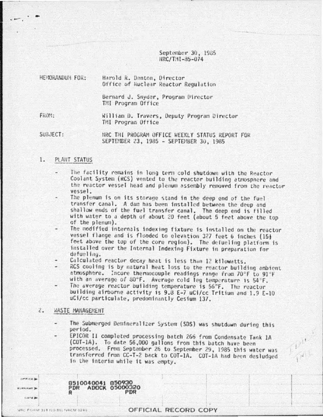September 30, 1985 HRC/THI-85-074

| HENORANDUM FOR: | Harold R. Denton, Director<br>Office of Huclear Reactor Regulation |
|-----------------|--------------------------------------------------------------------|
|                 | Bernard J. Snyder, Program Director<br>TMI Program Office          |
| FROM:           | William D. Travers, Deputy Program Director<br>TMI Program Office  |

SUBJECT: NRC THI PROGRAM OFFICE WEEKLY STATUS REPORT FOR SEPTEMBER 23, 1985 - SEPTEMBER 30, 1985

#### $1.$ PLANT STATUS

- The facility remains in long term cold shutdown with the Reactor Coolant System (RCS) vented to the reactor building atmosphere and the reactor vessel head and plenum assembly removed from the reactor vessel.
- The plenum is on its storage stand in the deep end of the fuel transfer canal. A dam has been installed between the deep and shallow ends of the fuel transfer canal. The deep end is filled with water to a depth of about 20 feet (about 5 feet above the top of the plenum).
- The modified internals indexing fixture is installed on the reactor vessel flange and is flooded to elevation 327 feet 6 inches (15} feet above the top of the core region). The defueling platform is installed over the Internal Indexing Fixture in preparation for defueling.
- Calculated reactor decay heat is less than 12 kilowatts.
- RCS cooling is by natural heat loss to the reactor building ambient atmosphere. Incore thermocouple readings range from 70°F to 91°F with an average of 80°F. Average cold leg temperature is 54°F.
- The average reactor building temperature is 56°F. The reactor building airborne activity is 9.8 E-7 uCi/cc Tritium and 1.9 E-10 uCi/cc particulate, predominantly Cesium 137.

# 2. WASTE MANAGEMENT

- The Submerged Demineralizer System (SDS) was shutdown during this period.
	- EPICOR II completed processing batch 266 from Condensate Tank 1A (COT-1A). To date 56,000 gallons from this batch have been processed. From September 26 to September 29, 1985 this water was transferred from CC-T-2 back to COT-1A. COT-1A had been desludged in the interim while it was empty.

8510040041 850930 ADOCK 05 PDR 000320

OFFICE)

**KINNAME Gata** 

# OFFICIAL RECORD COPY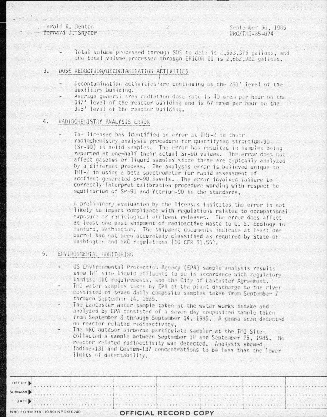Harold R. Deuton Bernard J. Snyder Ż

- Total volume processed through SOS to date is 2,903,375 callons, and the total volume processed through EPICOR II is 2,662,982 gallons.
- DOSE REDUCTION/DECONTAMINATION ACTIVITIES 3.
	- Decontamination activities are continuing on the 281' level of the auxiliary building.
	- Average general area radiation dose rate is 40 mress per hour on the 347' level of the reactor building and is 67 mrem per hour on the 305' level of the reactor building.

# 4. RADIOCHENISTRY ANALYSIS ERROR

The licensee has identified an error at TMI-2 in their radiochemistry analysis procedure for quantifying strantium-90 (Sr-90) in solid samples. The error has resulted in samples being reported at one-half their actual Sr-90 values. The error does not affect gaseous or liquid samples since these are typically analyzed by a different process. The analysis error is believed unique to THI-2 in using a beta spectrometer for rapid assessment of accident-generated Sr-90 levels. The error involved failure to correctly interpret calibration procedure wording with respect to equilibrium of Sr-90 and Yttrium-90 in the standards.

A preliminary evaluation by the licenses indicates the error is not likely to impact compliance with regulations related to occupational exposure or radiological effluent releases. The error does affect at least one past shipment of radioactive waste to U. S. Ecology in Hanford, Washington, The shipment documents indicate at least one barrol had not been accurately classified as required by State of Washington and hKC regulations (10 CFR 61.55).

# 5. ENVIRONMENTAL RONITORING

- US Environmental Protection Agency (EPA) sample analysis results show In' site liquid effluents to be in accordance with regulatory limits, WRC requirements, and the City of Lancaster Agreement.
- Thi water samples taken by EPA at the plant discharge to the river consisted of seven daily composite samples taken from September 7 through September 14, 1985.
- The Lancaster water sample taken at the water works intake and analyzed by EPA consisted of a seven day composited sample taken from September 3 through September 14, 1985. A gamma scan detected no reactor related redioactivity.
- The NRC outdoor airporne particulate sampler at the THI Site collected a sample between September 18 and September 25, 1985. No reactor related radioactivity was detected. Analysis showed Indine-131 and Cesium-137 concentrations to be less than the lower limits of detectability.

| DATE    |  |                                         |  |  |  |
|---------|--|-----------------------------------------|--|--|--|
| SURNAME |  | VI 전 전 2 전 기능 사용을 가능한 사용 사용 사용 사용 사용 사용 |  |  |  |
| OFFICE  |  |                                         |  |  |  |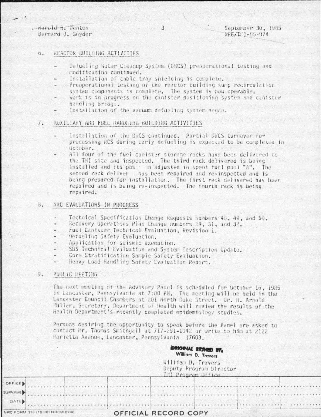-Harold R. Jenton Bernard J. Snyder

. . . . . . **.** 

### REACTOR BUILDING ACTIVITIES  $\overline{\alpha}$ .

- Defueling Water Cleanup System (DNCS) prepperational testing and modification continued.
- Installation of cable tray shielding is complete.
- Preoperational testing of the reactor building sump recirculation system components is complete. The system is now operable.
- Work is in progress on the canister positioning system and canister handling bridge.
- Installation of the vacuum defueling system began.

### $L_{\star}$ AUXILIARY AND FUEL HANDLING BUILDING ACTIVITIES

- Installation of the DWCS continued, Partial DWCS turnover for processing RCS during early defueling is expected to be completed in October.
- All four of the fuel canister storage racks have been delivered to the TMI site and inspected. The third rack delivered is being installed and its position adjusted in spent fuel pool "A". The second rack deliver thas been repaired and re-inspected and is being prepared for installation. The first rack delivered has been repaired and is being re-inspected. The fourth rack is being repaired.

# **B. HRC EVALUATIONS IN PROGRESS**

- Technical Specification Change Requests numbers 48, 49, and 50.
- Recovery Operations Plan Change numbers 29, 31, and 32.
- Fuel Canister Technical Evaluation, Revision 1.
- Defueling Safety Evaluation.
- Application for seismic exemption.
- SDS Technical Evaluation and System Description Update.
- Core Stratification Sample Safety Evaluation.
- Heavy Load Handling Safety Evaluation Report.

# 9. PUBLIC HEETING

The next meeting of the Advisory Panel is scheduled for October 16, 1985 in Lancaster, Pennsylvania at 7:00 PM. The meeting will be held in the Lancaster Council Chambers at 201 North Duke Street. Dr. H. Arnold<br>Huller, Secretary, Department of Health will review the results of the Health Department's recently completed epidemiology studies.

Persons desiring the opportunity to speak before the Panel are asked to contact Mr. Thomas Smithgall at 717-291-1042 or write to him at 2122 Marietta Avenue, Lancaster, Pennsylvania 17603.

|                               | GRIORIAL SICRED BY,<br>William D. Travers<br>William D. Travers<br>Deputy Program Director<br>Til Program Office |  |  |  |  |  |
|-------------------------------|------------------------------------------------------------------------------------------------------------------|--|--|--|--|--|
| OFFICE.                       |                                                                                                                  |  |  |  |  |  |
| UPHAME                        |                                                                                                                  |  |  |  |  |  |
| DATE                          |                                                                                                                  |  |  |  |  |  |
| AC FORM 318 (10 80) NRCM 0740 | OFFICIAL RECORD COPY                                                                                             |  |  |  |  |  |